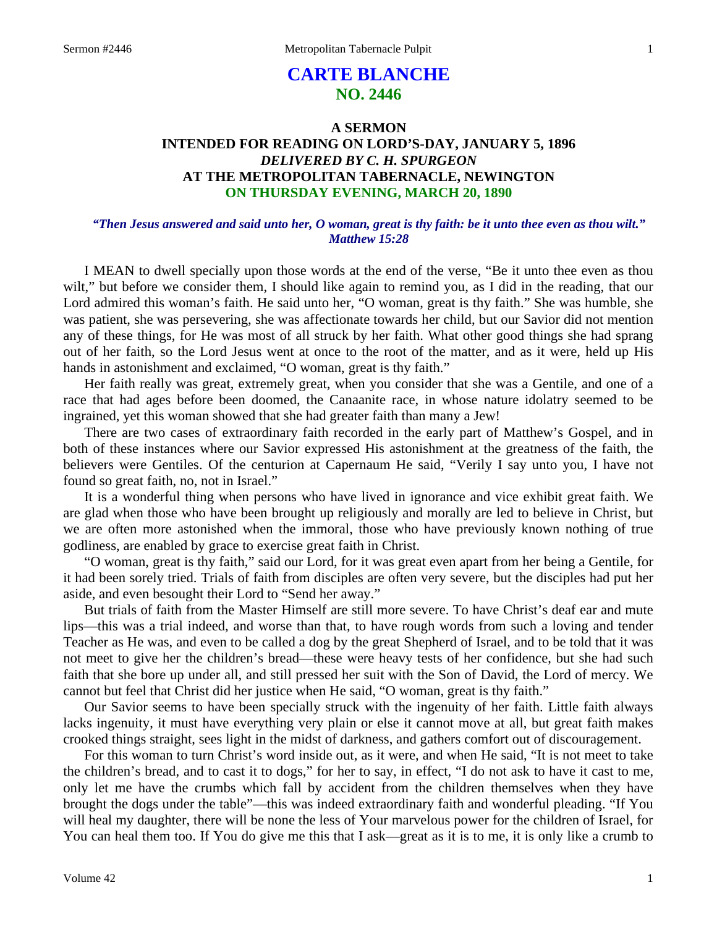# **CARTE BLANCHE NO. 2446**

# **A SERMON INTENDED FOR READING ON LORD'S-DAY, JANUARY 5, 1896**  *DELIVERED BY C. H. SPURGEON*  **AT THE METROPOLITAN TABERNACLE, NEWINGTON ON THURSDAY EVENING, MARCH 20, 1890**

#### *"Then Jesus answered and said unto her, O woman, great is thy faith: be it unto thee even as thou wilt." Matthew 15:28*

I MEAN to dwell specially upon those words at the end of the verse, "Be it unto thee even as thou wilt," but before we consider them, I should like again to remind you, as I did in the reading, that our Lord admired this woman's faith. He said unto her, "O woman, great is thy faith." She was humble, she was patient, she was persevering, she was affectionate towards her child, but our Savior did not mention any of these things, for He was most of all struck by her faith. What other good things she had sprang out of her faith, so the Lord Jesus went at once to the root of the matter, and as it were, held up His hands in astonishment and exclaimed, "O woman, great is thy faith."

Her faith really was great, extremely great, when you consider that she was a Gentile, and one of a race that had ages before been doomed, the Canaanite race, in whose nature idolatry seemed to be ingrained, yet this woman showed that she had greater faith than many a Jew!

There are two cases of extraordinary faith recorded in the early part of Matthew's Gospel, and in both of these instances where our Savior expressed His astonishment at the greatness of the faith, the believers were Gentiles. Of the centurion at Capernaum He said, "Verily I say unto you, I have not found so great faith, no, not in Israel."

It is a wonderful thing when persons who have lived in ignorance and vice exhibit great faith. We are glad when those who have been brought up religiously and morally are led to believe in Christ, but we are often more astonished when the immoral, those who have previously known nothing of true godliness, are enabled by grace to exercise great faith in Christ.

"O woman, great is thy faith," said our Lord, for it was great even apart from her being a Gentile, for it had been sorely tried. Trials of faith from disciples are often very severe, but the disciples had put her aside, and even besought their Lord to "Send her away."

But trials of faith from the Master Himself are still more severe. To have Christ's deaf ear and mute lips—this was a trial indeed, and worse than that, to have rough words from such a loving and tender Teacher as He was, and even to be called a dog by the great Shepherd of Israel, and to be told that it was not meet to give her the children's bread—these were heavy tests of her confidence, but she had such faith that she bore up under all, and still pressed her suit with the Son of David, the Lord of mercy. We cannot but feel that Christ did her justice when He said, "O woman, great is thy faith."

Our Savior seems to have been specially struck with the ingenuity of her faith. Little faith always lacks ingenuity, it must have everything very plain or else it cannot move at all, but great faith makes crooked things straight, sees light in the midst of darkness, and gathers comfort out of discouragement.

For this woman to turn Christ's word inside out, as it were, and when He said, "It is not meet to take the children's bread, and to cast it to dogs," for her to say, in effect, "I do not ask to have it cast to me, only let me have the crumbs which fall by accident from the children themselves when they have brought the dogs under the table"—this was indeed extraordinary faith and wonderful pleading. "If You will heal my daughter, there will be none the less of Your marvelous power for the children of Israel, for You can heal them too. If You do give me this that I ask—great as it is to me, it is only like a crumb to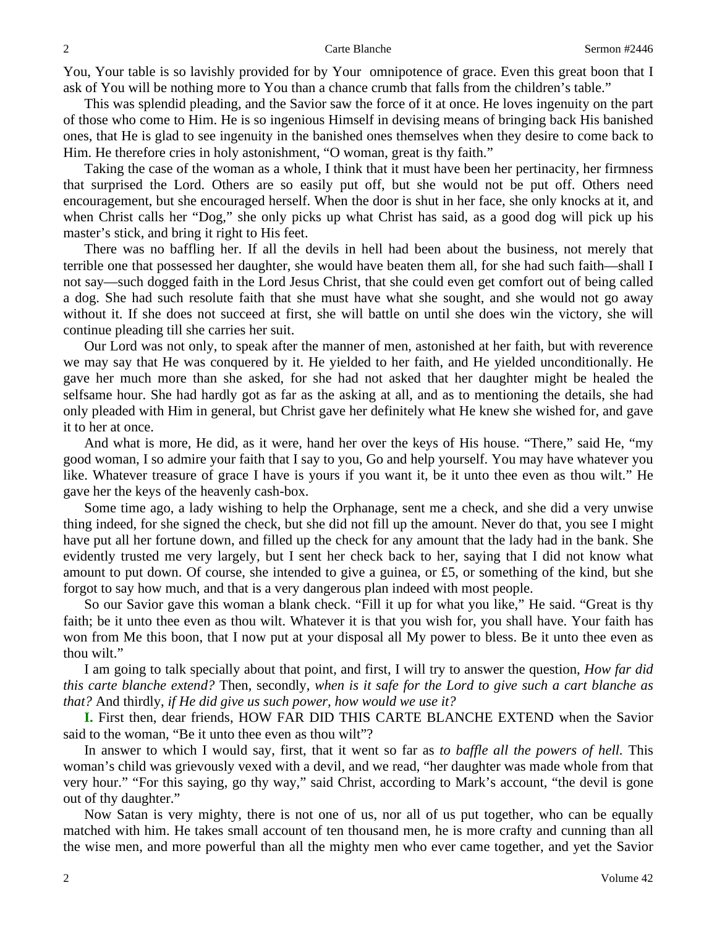You, Your table is so lavishly provided for by Your omnipotence of grace. Even this great boon that I ask of You will be nothing more to You than a chance crumb that falls from the children's table."

This was splendid pleading, and the Savior saw the force of it at once. He loves ingenuity on the part of those who come to Him. He is so ingenious Himself in devising means of bringing back His banished ones, that He is glad to see ingenuity in the banished ones themselves when they desire to come back to Him. He therefore cries in holy astonishment, "O woman, great is thy faith."

Taking the case of the woman as a whole, I think that it must have been her pertinacity, her firmness that surprised the Lord. Others are so easily put off, but she would not be put off. Others need encouragement, but she encouraged herself. When the door is shut in her face, she only knocks at it, and when Christ calls her "Dog," she only picks up what Christ has said, as a good dog will pick up his master's stick, and bring it right to His feet.

There was no baffling her. If all the devils in hell had been about the business, not merely that terrible one that possessed her daughter, she would have beaten them all, for she had such faith—shall I not say—such dogged faith in the Lord Jesus Christ, that she could even get comfort out of being called a dog. She had such resolute faith that she must have what she sought, and she would not go away without it. If she does not succeed at first, she will battle on until she does win the victory, she will continue pleading till she carries her suit.

Our Lord was not only, to speak after the manner of men, astonished at her faith, but with reverence we may say that He was conquered by it. He yielded to her faith, and He yielded unconditionally. He gave her much more than she asked, for she had not asked that her daughter might be healed the selfsame hour. She had hardly got as far as the asking at all, and as to mentioning the details, she had only pleaded with Him in general, but Christ gave her definitely what He knew she wished for, and gave it to her at once.

And what is more, He did, as it were, hand her over the keys of His house. "There," said He, "my good woman, I so admire your faith that I say to you, Go and help yourself. You may have whatever you like. Whatever treasure of grace I have is yours if you want it, be it unto thee even as thou wilt." He gave her the keys of the heavenly cash-box.

Some time ago, a lady wishing to help the Orphanage, sent me a check, and she did a very unwise thing indeed, for she signed the check, but she did not fill up the amount. Never do that, you see I might have put all her fortune down, and filled up the check for any amount that the lady had in the bank. She evidently trusted me very largely, but I sent her check back to her, saying that I did not know what amount to put down. Of course, she intended to give a guinea, or £5, or something of the kind, but she forgot to say how much, and that is a very dangerous plan indeed with most people.

So our Savior gave this woman a blank check. "Fill it up for what you like," He said. "Great is thy faith; be it unto thee even as thou wilt. Whatever it is that you wish for, you shall have. Your faith has won from Me this boon, that I now put at your disposal all My power to bless. Be it unto thee even as thou wilt."

I am going to talk specially about that point, and first, I will try to answer the question, *How far did this carte blanche extend?* Then, secondly, *when is it safe for the Lord to give such a cart blanche as that?* And thirdly, *if He did give us such power, how would we use it?* 

**I.** First then, dear friends, HOW FAR DID THIS CARTE BLANCHE EXTEND when the Savior said to the woman, "Be it unto thee even as thou wilt"?

In answer to which I would say, first, that it went so far as *to baffle all the powers of hell.* This woman's child was grievously vexed with a devil, and we read, "her daughter was made whole from that very hour." "For this saying, go thy way," said Christ, according to Mark's account, "the devil is gone out of thy daughter."

Now Satan is very mighty, there is not one of us, nor all of us put together, who can be equally matched with him. He takes small account of ten thousand men, he is more crafty and cunning than all the wise men, and more powerful than all the mighty men who ever came together, and yet the Savior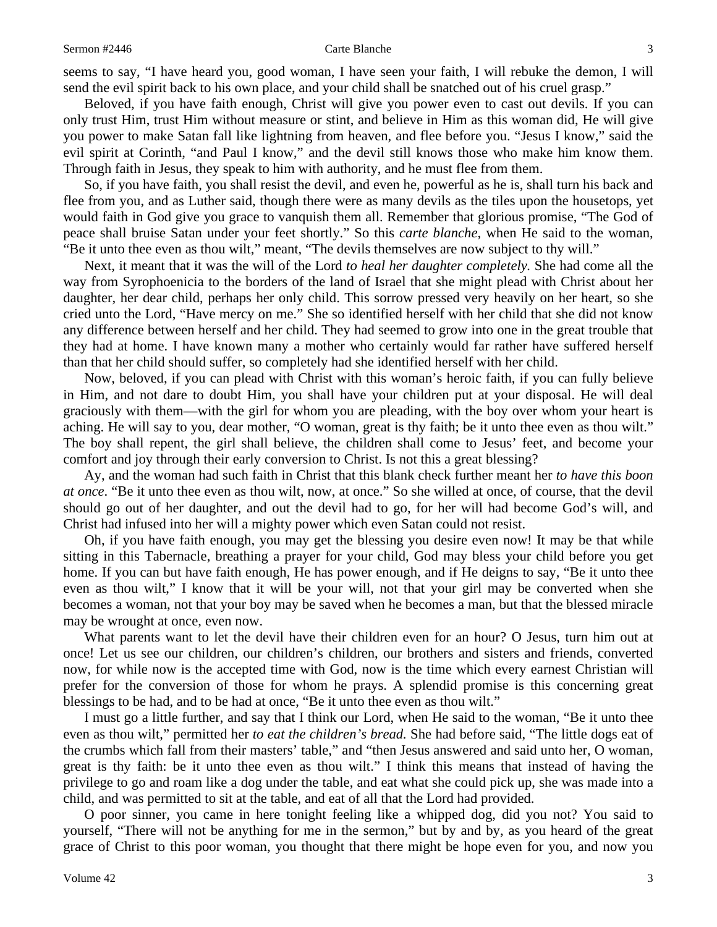#### Sermon #2446 **Sermon #2446** 3

seems to say, "I have heard you, good woman, I have seen your faith, I will rebuke the demon, I will send the evil spirit back to his own place, and your child shall be snatched out of his cruel grasp."

Beloved, if you have faith enough, Christ will give you power even to cast out devils. If you can only trust Him, trust Him without measure or stint, and believe in Him as this woman did, He will give you power to make Satan fall like lightning from heaven, and flee before you. "Jesus I know," said the evil spirit at Corinth, "and Paul I know," and the devil still knows those who make him know them. Through faith in Jesus, they speak to him with authority, and he must flee from them.

So, if you have faith, you shall resist the devil, and even he, powerful as he is, shall turn his back and flee from you, and as Luther said, though there were as many devils as the tiles upon the housetops, yet would faith in God give you grace to vanquish them all. Remember that glorious promise, "The God of peace shall bruise Satan under your feet shortly." So this *carte blanche,* when He said to the woman, "Be it unto thee even as thou wilt," meant, "The devils themselves are now subject to thy will."

Next, it meant that it was the will of the Lord *to heal her daughter completely.* She had come all the way from Syrophoenicia to the borders of the land of Israel that she might plead with Christ about her daughter, her dear child, perhaps her only child. This sorrow pressed very heavily on her heart, so she cried unto the Lord, "Have mercy on me." She so identified herself with her child that she did not know any difference between herself and her child. They had seemed to grow into one in the great trouble that they had at home. I have known many a mother who certainly would far rather have suffered herself than that her child should suffer, so completely had she identified herself with her child.

Now, beloved, if you can plead with Christ with this woman's heroic faith, if you can fully believe in Him, and not dare to doubt Him, you shall have your children put at your disposal. He will deal graciously with them—with the girl for whom you are pleading, with the boy over whom your heart is aching. He will say to you, dear mother, "O woman, great is thy faith; be it unto thee even as thou wilt." The boy shall repent, the girl shall believe, the children shall come to Jesus' feet, and become your comfort and joy through their early conversion to Christ. Is not this a great blessing?

Ay, and the woman had such faith in Christ that this blank check further meant her *to have this boon at once*. "Be it unto thee even as thou wilt, now, at once." So she willed at once, of course, that the devil should go out of her daughter, and out the devil had to go, for her will had become God's will, and Christ had infused into her will a mighty power which even Satan could not resist.

Oh, if you have faith enough, you may get the blessing you desire even now! It may be that while sitting in this Tabernacle, breathing a prayer for your child, God may bless your child before you get home. If you can but have faith enough, He has power enough, and if He deigns to say, "Be it unto thee even as thou wilt," I know that it will be your will, not that your girl may be converted when she becomes a woman, not that your boy may be saved when he becomes a man, but that the blessed miracle may be wrought at once, even now.

What parents want to let the devil have their children even for an hour? O Jesus, turn him out at once! Let us see our children, our children's children, our brothers and sisters and friends, converted now, for while now is the accepted time with God, now is the time which every earnest Christian will prefer for the conversion of those for whom he prays. A splendid promise is this concerning great blessings to be had, and to be had at once, "Be it unto thee even as thou wilt."

I must go a little further, and say that I think our Lord, when He said to the woman, "Be it unto thee even as thou wilt," permitted her *to eat the children's bread.* She had before said, "The little dogs eat of the crumbs which fall from their masters' table," and "then Jesus answered and said unto her, O woman, great is thy faith: be it unto thee even as thou wilt." I think this means that instead of having the privilege to go and roam like a dog under the table, and eat what she could pick up, she was made into a child, and was permitted to sit at the table, and eat of all that the Lord had provided.

O poor sinner, you came in here tonight feeling like a whipped dog, did you not? You said to yourself, "There will not be anything for me in the sermon," but by and by, as you heard of the great grace of Christ to this poor woman, you thought that there might be hope even for you, and now you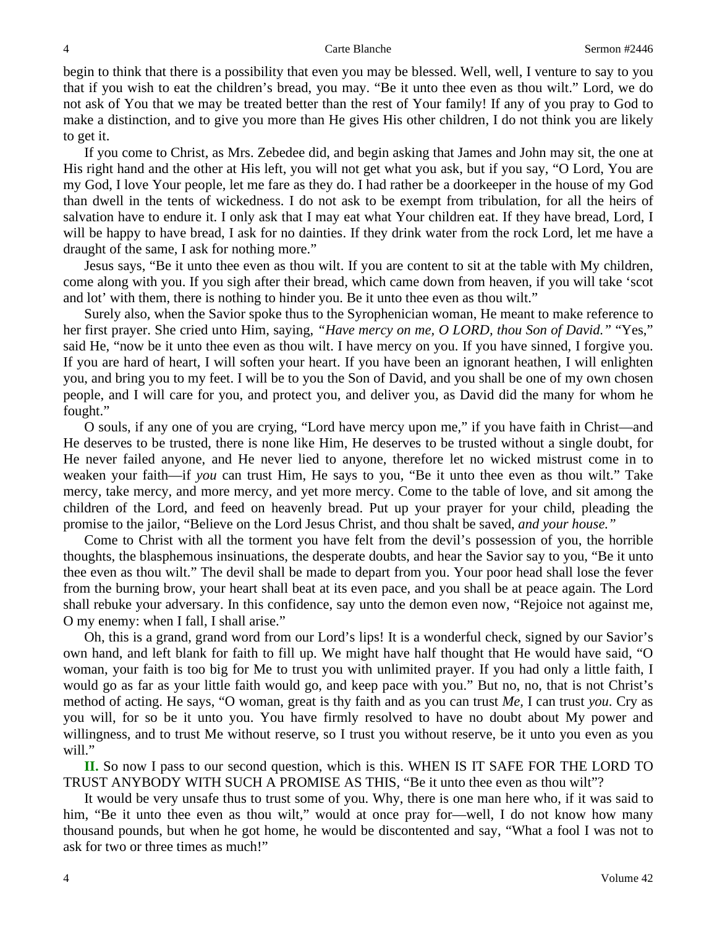begin to think that there is a possibility that even you may be blessed. Well, well, I venture to say to you that if you wish to eat the children's bread, you may. "Be it unto thee even as thou wilt." Lord, we do not ask of You that we may be treated better than the rest of Your family! If any of you pray to God to make a distinction, and to give you more than He gives His other children, I do not think you are likely to get it.

If you come to Christ, as Mrs. Zebedee did, and begin asking that James and John may sit, the one at His right hand and the other at His left, you will not get what you ask, but if you say, "O Lord, You are my God, I love Your people, let me fare as they do. I had rather be a doorkeeper in the house of my God than dwell in the tents of wickedness. I do not ask to be exempt from tribulation, for all the heirs of salvation have to endure it. I only ask that I may eat what Your children eat. If they have bread, Lord, I will be happy to have bread, I ask for no dainties. If they drink water from the rock Lord, let me have a draught of the same, I ask for nothing more."

Jesus says, "Be it unto thee even as thou wilt. If you are content to sit at the table with My children, come along with you. If you sigh after their bread, which came down from heaven, if you will take 'scot and lot' with them, there is nothing to hinder you. Be it unto thee even as thou wilt."

Surely also, when the Savior spoke thus to the Syrophenician woman, He meant to make reference to her first prayer. She cried unto Him, saying, *"Have mercy on me, O LORD, thou Son of David."* "Yes," said He, "now be it unto thee even as thou wilt. I have mercy on you. If you have sinned, I forgive you. If you are hard of heart, I will soften your heart. If you have been an ignorant heathen, I will enlighten you, and bring you to my feet. I will be to you the Son of David, and you shall be one of my own chosen people, and I will care for you, and protect you, and deliver you, as David did the many for whom he fought."

O souls, if any one of you are crying, "Lord have mercy upon me," if you have faith in Christ—and He deserves to be trusted, there is none like Him, He deserves to be trusted without a single doubt, for He never failed anyone, and He never lied to anyone, therefore let no wicked mistrust come in to weaken your faith—if *you* can trust Him, He says to you, "Be it unto thee even as thou wilt." Take mercy, take mercy, and more mercy, and yet more mercy. Come to the table of love, and sit among the children of the Lord, and feed on heavenly bread. Put up your prayer for your child, pleading the promise to the jailor, "Believe on the Lord Jesus Christ, and thou shalt be saved, *and your house."*

Come to Christ with all the torment you have felt from the devil's possession of you, the horrible thoughts, the blasphemous insinuations, the desperate doubts, and hear the Savior say to you, "Be it unto thee even as thou wilt." The devil shall be made to depart from you. Your poor head shall lose the fever from the burning brow, your heart shall beat at its even pace, and you shall be at peace again. The Lord shall rebuke your adversary. In this confidence, say unto the demon even now, "Rejoice not against me, O my enemy: when I fall, I shall arise."

Oh, this is a grand, grand word from our Lord's lips! It is a wonderful check, signed by our Savior's own hand, and left blank for faith to fill up. We might have half thought that He would have said, "O woman, your faith is too big for Me to trust you with unlimited prayer. If you had only a little faith, I would go as far as your little faith would go, and keep pace with you." But no, no, that is not Christ's method of acting. He says, "O woman, great is thy faith and as you can trust *Me,* I can trust *you*. Cry as you will, for so be it unto you. You have firmly resolved to have no doubt about My power and willingness, and to trust Me without reserve, so I trust you without reserve, be it unto you even as you will."

**II.** So now I pass to our second question, which is this. WHEN IS IT SAFE FOR THE LORD TO TRUST ANYBODY WITH SUCH A PROMISE AS THIS, "Be it unto thee even as thou wilt"?

It would be very unsafe thus to trust some of you. Why, there is one man here who, if it was said to him, "Be it unto thee even as thou wilt," would at once pray for—well, I do not know how many thousand pounds, but when he got home, he would be discontented and say, "What a fool I was not to ask for two or three times as much!"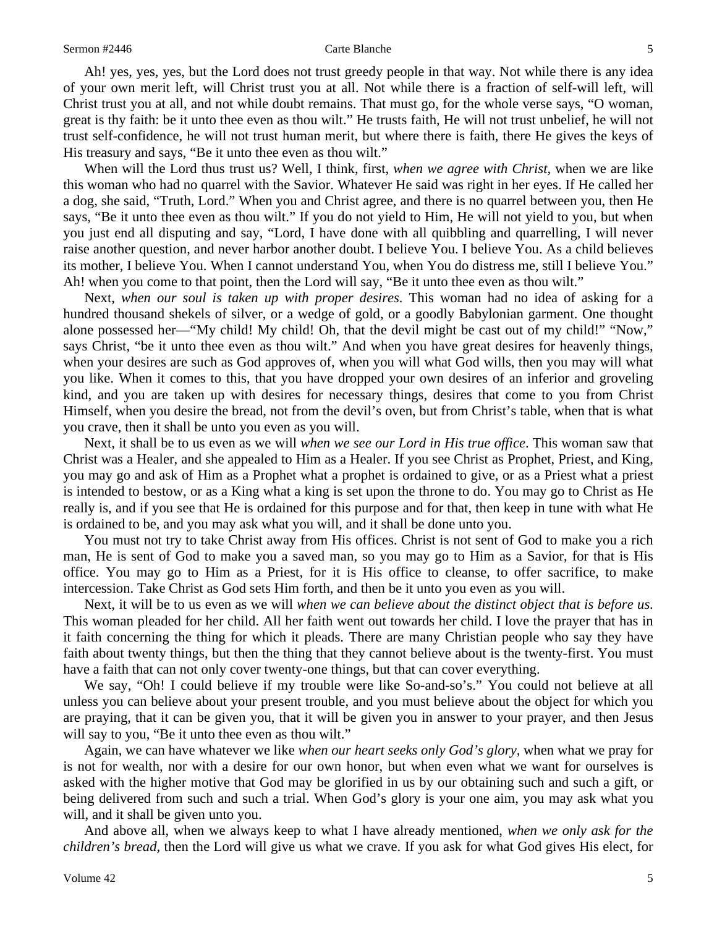Ah! yes, yes, yes, but the Lord does not trust greedy people in that way. Not while there is any idea of your own merit left, will Christ trust you at all. Not while there is a fraction of self-will left, will Christ trust you at all, and not while doubt remains. That must go, for the whole verse says, "O woman, great is thy faith: be it unto thee even as thou wilt." He trusts faith, He will not trust unbelief, he will not trust self-confidence, he will not trust human merit, but where there is faith, there He gives the keys of His treasury and says, "Be it unto thee even as thou wilt."

When will the Lord thus trust us? Well, I think, first, *when we agree with Christ,* when we are like this woman who had no quarrel with the Savior. Whatever He said was right in her eyes. If He called her a dog, she said, "Truth, Lord." When you and Christ agree, and there is no quarrel between you, then He says, "Be it unto thee even as thou wilt." If you do not yield to Him, He will not yield to you, but when you just end all disputing and say, "Lord, I have done with all quibbling and quarrelling, I will never raise another question, and never harbor another doubt. I believe You. I believe You. As a child believes its mother, I believe You. When I cannot understand You, when You do distress me, still I believe You." Ah! when you come to that point, then the Lord will say, "Be it unto thee even as thou wilt."

Next, *when our soul is taken up with proper desires*. This woman had no idea of asking for a hundred thousand shekels of silver, or a wedge of gold, or a goodly Babylonian garment. One thought alone possessed her—"My child! My child! Oh, that the devil might be cast out of my child!" "Now," says Christ, "be it unto thee even as thou wilt." And when you have great desires for heavenly things, when your desires are such as God approves of, when you will what God wills, then you may will what you like. When it comes to this, that you have dropped your own desires of an inferior and groveling kind, and you are taken up with desires for necessary things, desires that come to you from Christ Himself, when you desire the bread, not from the devil's oven, but from Christ's table, when that is what you crave, then it shall be unto you even as you will.

Next, it shall be to us even as we will *when we see our Lord in His true office*. This woman saw that Christ was a Healer, and she appealed to Him as a Healer. If you see Christ as Prophet, Priest, and King, you may go and ask of Him as a Prophet what a prophet is ordained to give, or as a Priest what a priest is intended to bestow, or as a King what a king is set upon the throne to do. You may go to Christ as He really is, and if you see that He is ordained for this purpose and for that, then keep in tune with what He is ordained to be, and you may ask what you will, and it shall be done unto you.

You must not try to take Christ away from His offices. Christ is not sent of God to make you a rich man, He is sent of God to make you a saved man, so you may go to Him as a Savior, for that is His office. You may go to Him as a Priest, for it is His office to cleanse, to offer sacrifice, to make intercession. Take Christ as God sets Him forth, and then be it unto you even as you will.

Next, it will be to us even as we will *when we can believe about the distinct object that is before us*. This woman pleaded for her child. All her faith went out towards her child. I love the prayer that has in it faith concerning the thing for which it pleads. There are many Christian people who say they have faith about twenty things, but then the thing that they cannot believe about is the twenty-first. You must have a faith that can not only cover twenty-one things, but that can cover everything.

We say, "Oh! I could believe if my trouble were like So-and-so's." You could not believe at all unless you can believe about your present trouble, and you must believe about the object for which you are praying, that it can be given you, that it will be given you in answer to your prayer, and then Jesus will say to you, "Be it unto thee even as thou wilt."

Again, we can have whatever we like *when our heart seeks only God's glory,* when what we pray for is not for wealth, nor with a desire for our own honor, but when even what we want for ourselves is asked with the higher motive that God may be glorified in us by our obtaining such and such a gift, or being delivered from such and such a trial. When God's glory is your one aim, you may ask what you will, and it shall be given unto you.

And above all, when we always keep to what I have already mentioned, *when we only ask for the children's bread,* then the Lord will give us what we crave. If you ask for what God gives His elect, for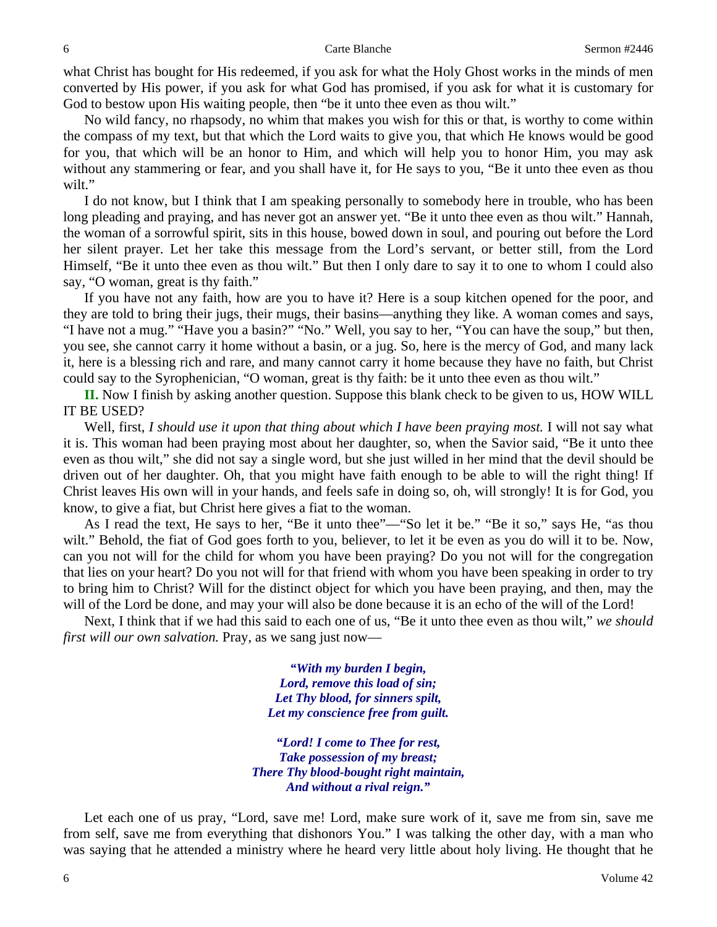what Christ has bought for His redeemed, if you ask for what the Holy Ghost works in the minds of men converted by His power, if you ask for what God has promised, if you ask for what it is customary for God to bestow upon His waiting people, then "be it unto thee even as thou wilt."

No wild fancy, no rhapsody, no whim that makes you wish for this or that, is worthy to come within the compass of my text, but that which the Lord waits to give you, that which He knows would be good for you, that which will be an honor to Him, and which will help you to honor Him, you may ask without any stammering or fear, and you shall have it, for He says to you, "Be it unto thee even as thou wilt."

I do not know, but I think that I am speaking personally to somebody here in trouble, who has been long pleading and praying, and has never got an answer yet. "Be it unto thee even as thou wilt." Hannah, the woman of a sorrowful spirit, sits in this house, bowed down in soul, and pouring out before the Lord her silent prayer. Let her take this message from the Lord's servant, or better still, from the Lord Himself, "Be it unto thee even as thou wilt." But then I only dare to say it to one to whom I could also say, "O woman, great is thy faith."

If you have not any faith, how are you to have it? Here is a soup kitchen opened for the poor, and they are told to bring their jugs, their mugs, their basins—anything they like. A woman comes and says, "I have not a mug." "Have you a basin?" "No." Well, you say to her, "You can have the soup," but then, you see, she cannot carry it home without a basin, or a jug. So, here is the mercy of God, and many lack it, here is a blessing rich and rare, and many cannot carry it home because they have no faith, but Christ could say to the Syrophenician, "O woman, great is thy faith: be it unto thee even as thou wilt."

**II.** Now I finish by asking another question. Suppose this blank check to be given to us, HOW WILL IT BE USED?

Well, first, *I should use it upon that thing about which I have been praying most*. I will not say what it is. This woman had been praying most about her daughter, so, when the Savior said, "Be it unto thee even as thou wilt," she did not say a single word, but she just willed in her mind that the devil should be driven out of her daughter. Oh, that you might have faith enough to be able to will the right thing! If Christ leaves His own will in your hands, and feels safe in doing so, oh, will strongly! It is for God, you know, to give a fiat, but Christ here gives a fiat to the woman.

As I read the text, He says to her, "Be it unto thee"—"So let it be." "Be it so," says He, "as thou wilt." Behold, the fiat of God goes forth to you, believer, to let it be even as you do will it to be. Now, can you not will for the child for whom you have been praying? Do you not will for the congregation that lies on your heart? Do you not will for that friend with whom you have been speaking in order to try to bring him to Christ? Will for the distinct object for which you have been praying, and then, may the will of the Lord be done, and may your will also be done because it is an echo of the will of the Lord!

Next, I think that if we had this said to each one of us, "Be it unto thee even as thou wilt," *we should first will our own salvation.* Pray, as we sang just now—

> *"With my burden I begin, Lord, remove this load of sin; Let Thy blood, for sinners spilt, Let my conscience free from guilt.*

*"Lord! I come to Thee for rest, Take possession of my breast; There Thy blood-bought right maintain, And without a rival reign."* 

Let each one of us pray, "Lord, save me! Lord, make sure work of it, save me from sin, save me from self, save me from everything that dishonors You." I was talking the other day, with a man who was saying that he attended a ministry where he heard very little about holy living. He thought that he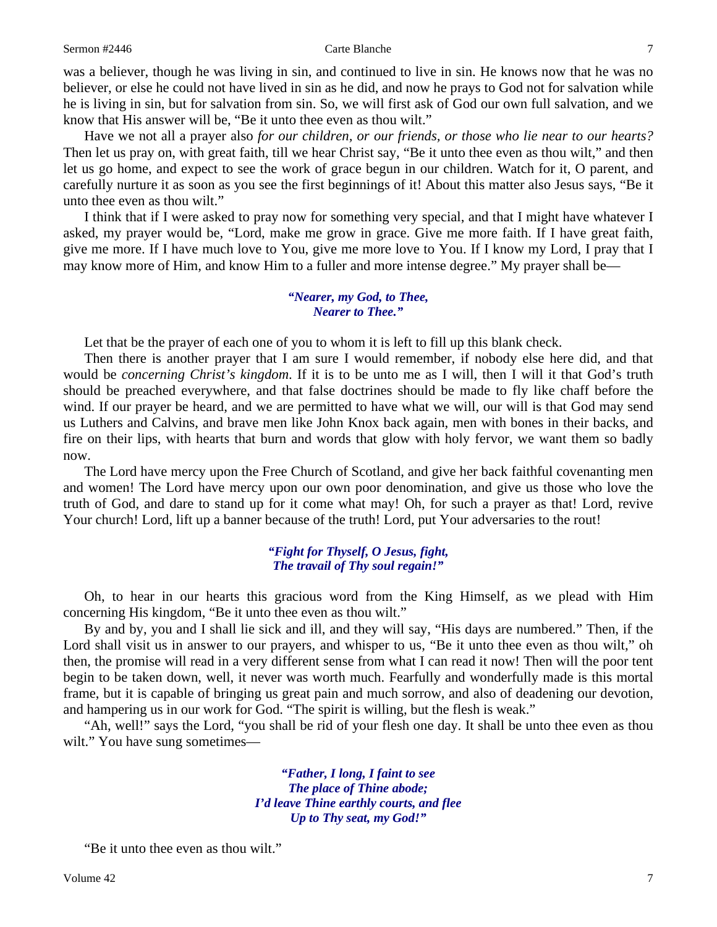was a believer, though he was living in sin, and continued to live in sin. He knows now that he was no believer, or else he could not have lived in sin as he did, and now he prays to God not for salvation while he is living in sin, but for salvation from sin. So, we will first ask of God our own full salvation, and we know that His answer will be, "Be it unto thee even as thou wilt."

Have we not all a prayer also *for our children, or our friends, or those who lie near to our hearts?*  Then let us pray on, with great faith, till we hear Christ say, "Be it unto thee even as thou wilt," and then let us go home, and expect to see the work of grace begun in our children. Watch for it, O parent, and carefully nurture it as soon as you see the first beginnings of it! About this matter also Jesus says, "Be it unto thee even as thou wilt."

I think that if I were asked to pray now for something very special, and that I might have whatever I asked, my prayer would be, "Lord, make me grow in grace. Give me more faith. If I have great faith, give me more. If I have much love to You, give me more love to You. If I know my Lord, I pray that I may know more of Him, and know Him to a fuller and more intense degree." My prayer shall be—

#### *"Nearer, my God, to Thee, Nearer to Thee."*

Let that be the prayer of each one of you to whom it is left to fill up this blank check.

Then there is another prayer that I am sure I would remember, if nobody else here did, and that would be *concerning Christ's kingdom*. If it is to be unto me as I will, then I will it that God's truth should be preached everywhere, and that false doctrines should be made to fly like chaff before the wind. If our prayer be heard, and we are permitted to have what we will, our will is that God may send us Luthers and Calvins, and brave men like John Knox back again, men with bones in their backs, and fire on their lips, with hearts that burn and words that glow with holy fervor, we want them so badly now.

The Lord have mercy upon the Free Church of Scotland, and give her back faithful covenanting men and women! The Lord have mercy upon our own poor denomination, and give us those who love the truth of God, and dare to stand up for it come what may! Oh, for such a prayer as that! Lord, revive Your church! Lord, lift up a banner because of the truth! Lord, put Your adversaries to the rout!

#### *"Fight for Thyself, O Jesus, fight, The travail of Thy soul regain!"*

Oh, to hear in our hearts this gracious word from the King Himself, as we plead with Him concerning His kingdom, "Be it unto thee even as thou wilt."

By and by, you and I shall lie sick and ill, and they will say, "His days are numbered." Then, if the Lord shall visit us in answer to our prayers, and whisper to us, "Be it unto thee even as thou wilt," oh then, the promise will read in a very different sense from what I can read it now! Then will the poor tent begin to be taken down, well, it never was worth much. Fearfully and wonderfully made is this mortal frame, but it is capable of bringing us great pain and much sorrow, and also of deadening our devotion, and hampering us in our work for God. "The spirit is willing, but the flesh is weak."

"Ah, well!" says the Lord, "you shall be rid of your flesh one day. It shall be unto thee even as thou wilt." You have sung sometimes—

> *"Father, I long, I faint to see The place of Thine abode; I'd leave Thine earthly courts, and flee Up to Thy seat, my God!"*

"Be it unto thee even as thou wilt."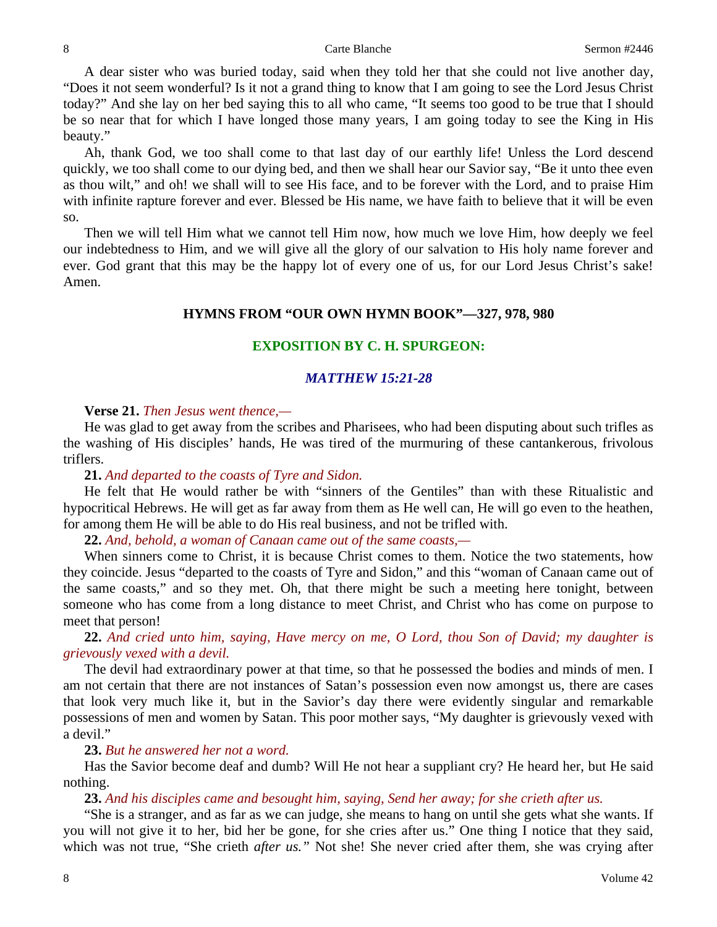A dear sister who was buried today, said when they told her that she could not live another day, "Does it not seem wonderful? Is it not a grand thing to know that I am going to see the Lord Jesus Christ today?" And she lay on her bed saying this to all who came, "It seems too good to be true that I should be so near that for which I have longed those many years, I am going today to see the King in His beauty."

Ah, thank God, we too shall come to that last day of our earthly life! Unless the Lord descend quickly, we too shall come to our dying bed, and then we shall hear our Savior say, "Be it unto thee even as thou wilt," and oh! we shall will to see His face, and to be forever with the Lord, and to praise Him with infinite rapture forever and ever. Blessed be His name, we have faith to believe that it will be even so.

Then we will tell Him what we cannot tell Him now, how much we love Him, how deeply we feel our indebtedness to Him, and we will give all the glory of our salvation to His holy name forever and ever. God grant that this may be the happy lot of every one of us, for our Lord Jesus Christ's sake! Amen.

### **HYMNS FROM "OUR OWN HYMN BOOK"—327, 978, 980**

### **EXPOSITION BY C. H. SPURGEON:**

#### *MATTHEW 15:21-28*

#### **Verse 21.** *Then Jesus went thence,—*

He was glad to get away from the scribes and Pharisees, who had been disputing about such trifles as the washing of His disciples' hands, He was tired of the murmuring of these cantankerous, frivolous triflers.

## **21.** *And departed to the coasts of Tyre and Sidon.*

He felt that He would rather be with "sinners of the Gentiles" than with these Ritualistic and hypocritical Hebrews. He will get as far away from them as He well can, He will go even to the heathen, for among them He will be able to do His real business, and not be trifled with.

**22.** *And, behold, a woman of Canaan came out of the same coasts,—*

When sinners come to Christ, it is because Christ comes to them. Notice the two statements, how they coincide. Jesus "departed to the coasts of Tyre and Sidon," and this "woman of Canaan came out of the same coasts," and so they met. Oh, that there might be such a meeting here tonight, between someone who has come from a long distance to meet Christ, and Christ who has come on purpose to meet that person!

**22.** *And cried unto him, saying, Have mercy on me, O Lord, thou Son of David; my daughter is grievously vexed with a devil.*

The devil had extraordinary power at that time, so that he possessed the bodies and minds of men. I am not certain that there are not instances of Satan's possession even now amongst us, there are cases that look very much like it, but in the Savior's day there were evidently singular and remarkable possessions of men and women by Satan. This poor mother says, "My daughter is grievously vexed with a devil."

#### **23.** *But he answered her not a word.*

Has the Savior become deaf and dumb? Will He not hear a suppliant cry? He heard her, but He said nothing.

#### **23.** *And his disciples came and besought him, saying, Send her away; for she crieth after us.*

"She is a stranger, and as far as we can judge, she means to hang on until she gets what she wants. If you will not give it to her, bid her be gone, for she cries after us." One thing I notice that they said, which was not true, "She crieth *after us.*" Not she! She never cried after them, she was crying after